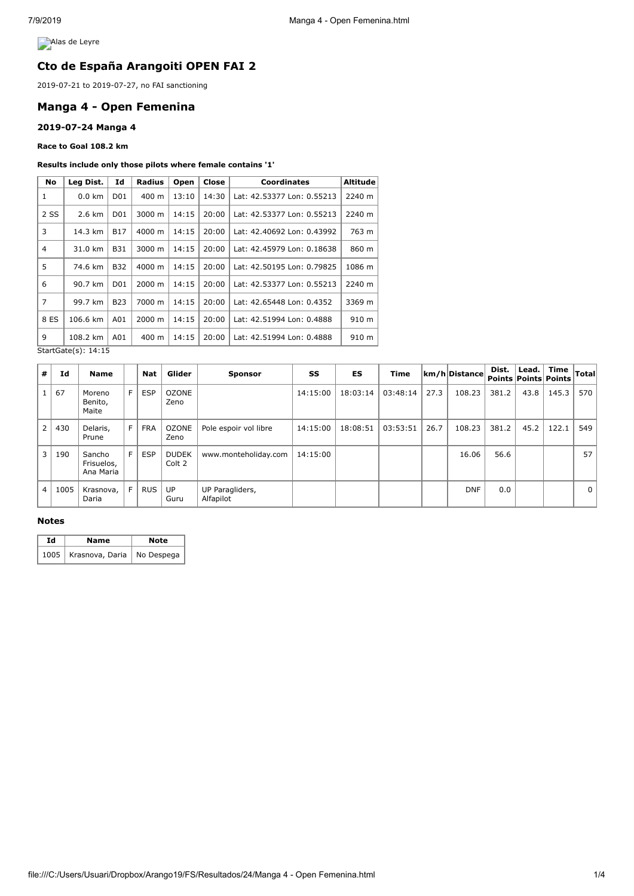**Alas de Leyre** 

# **Cto de España Arangoiti OPEN FAI 2**

2019-07-21 to 2019-07-27, no FAI sanctioning

# **Manga 4 - Open Femenina**

### **2019-07-24 Manga 4**

**Race to Goal 108.2 km**

#### **Results include only those pilots where female contains '1'**

| No             | Leg Dist.                | Id              | Radius | Open  | Close | <b>Coordinates</b>         | <b>Altitude</b> |
|----------------|--------------------------|-----------------|--------|-------|-------|----------------------------|-----------------|
| 1              | $0.0$ km                 | D01             | 400 m  | 13:10 | 14:30 | Lat: 42.53377 Lon: 0.55213 | 2240 m          |
| 2 SS           | 2.6 km                   | D <sub>01</sub> | 3000 m | 14:15 | 20:00 | Lat: 42.53377 Lon: 0.55213 | 2240 m          |
| 3              | 14.3 km                  | <b>B17</b>      | 4000 m | 14:15 | 20:00 | Lat: 42.40692 Lon: 0.43992 | 763 m           |
| 4              | 31.0 km                  | <b>B31</b>      | 3000 m | 14:15 | 20:00 | Lat: 42.45979 Lon: 0.18638 | 860 m           |
| 5              | 74.6 km                  | <b>B32</b>      | 4000 m | 14:15 | 20:00 | Lat: 42.50195 Lon: 0.79825 | 1086 m          |
| 6              | 90.7 km                  | D <sub>01</sub> | 2000 m | 14:15 | 20:00 | Lat: 42.53377 Lon: 0.55213 | 2240 m          |
| $\overline{7}$ | 99.7 km                  | <b>B23</b>      | 7000 m | 14:15 | 20:00 | Lat: 42.65448 Lon: 0.4352  | 3369 m          |
| 8 ES           | 106.6 km                 | A01             | 2000 m | 14:15 | 20:00 | Lat: 42.51994 Lon: 0.4888  | 910 m           |
| 9              | 108.2 km                 | A01             | 400 m  | 14:15 | 20:00 | Lat: 42.51994 Lon: 0.4888  | 910 m           |
|                | $ChartCath(c)$ , $1A.15$ |                 |        |       |       |                            |                 |

StartGate(s): 14:15

| #              | Id   | <b>Name</b>                       |   | <b>Nat</b> | Glider                 | <b>Sponsor</b>               | SS       | <b>ES</b> | <b>Time</b> |      | km/h Distance | Dist. | Lead. $\vert$ | Time<br><b>Points Points Points</b> | Total    |
|----------------|------|-----------------------------------|---|------------|------------------------|------------------------------|----------|-----------|-------------|------|---------------|-------|---------------|-------------------------------------|----------|
|                | 67   | Moreno<br>Benito,<br>Maite        | F | <b>ESP</b> | <b>OZONE</b><br>Zeno   |                              | 14:15:00 | 18:03:14  | 03:48:14    | 27.3 | 108.23        | 381.2 | 43.8          | 145.3                               | 570      |
| $\overline{2}$ | 430  | Delaris,<br>Prune                 | F | <b>FRA</b> | <b>OZONE</b><br>Zeno   | Pole espoir vol libre        | 14:15:00 | 18:08:51  | 03:53:51    | 26.7 | 108.23        | 381.2 | 45.2          | 122.1                               | 549      |
| 3              | 190  | Sancho<br>Frisuelos,<br>Ana Maria | F | <b>ESP</b> | <b>DUDEK</b><br>Colt 2 | www.monteholiday.com         | 14:15:00 |           |             |      | 16.06         | 56.6  |               |                                     | 57       |
| 4              | 1005 | Krasnova,<br>Daria                | E | <b>RUS</b> | UP<br>Guru             | UP Paragliders,<br>Alfapilot |          |           |             |      | <b>DNF</b>    | 0.0   |               |                                     | $\Omega$ |

### **Notes**

| Ιd | Name                   | Note       |  |  |
|----|------------------------|------------|--|--|
|    | 1005   Krasnova, Daria | No Despega |  |  |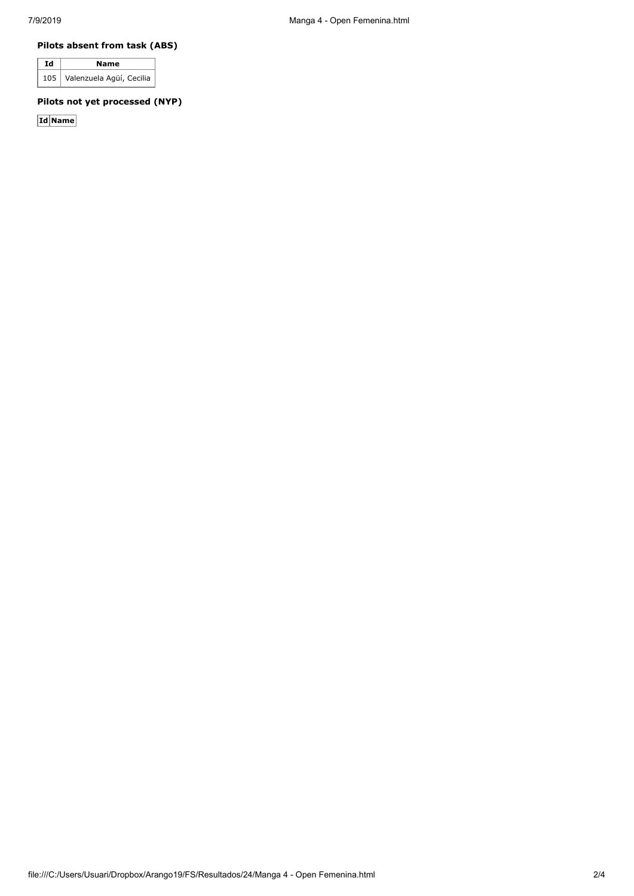## **Pilots absent from task (ABS)**

| Id | Name                         |  |  |  |  |
|----|------------------------------|--|--|--|--|
|    | 105 Valenzuela Agüí, Cecilia |  |  |  |  |

# **Pilots not yet processed (NYP)**

**Id Name**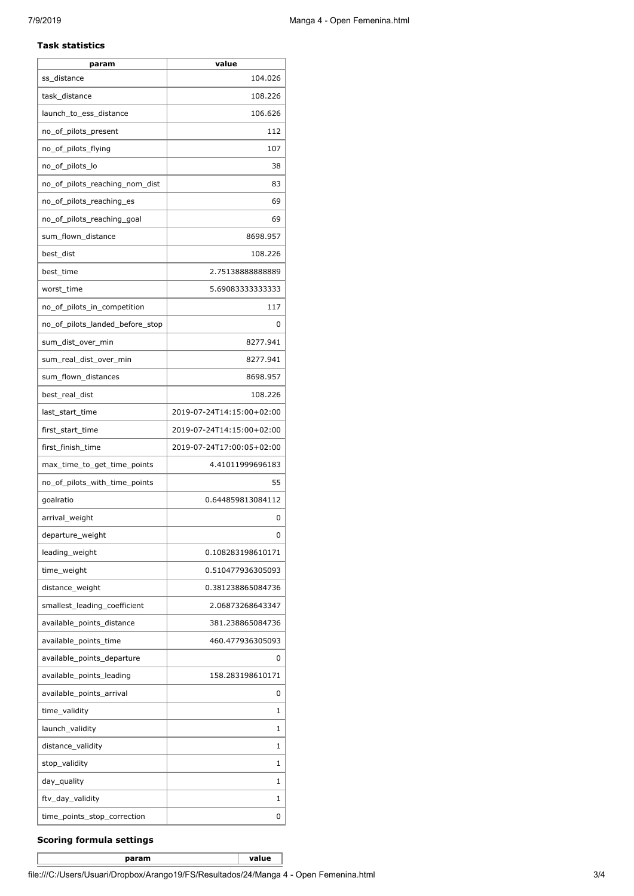#### **Task statistics**

| param                           | value                     |
|---------------------------------|---------------------------|
| ss distance                     | 104.026                   |
| task_distance                   | 108.226                   |
| launch_to_ess_distance          | 106.626                   |
| no_of_pilots_present            | 112                       |
| no_of_pilots_flying             | 107                       |
| no_of_pilots_lo                 | 38                        |
| no_of_pilots_reaching_nom_dist  | 83                        |
| no_of_pilots_reaching_es        | 69                        |
| no_of_pilots_reaching_goal      | 69                        |
| sum_flown_distance              | 8698.957                  |
| best_dist                       | 108.226                   |
| best_time                       | 2.7513888888889           |
| worst time                      | 5.69083333333333          |
| no_of_pilots_in_competition     | 117                       |
| no_of_pilots_landed_before_stop | 0                         |
| sum_dist_over_min               | 8277.941                  |
| sum_real_dist_over_min          | 8277.941                  |
| sum_flown_distances             | 8698.957                  |
| best_real_dist                  | 108.226                   |
| last_start_time                 | 2019-07-24T14:15:00+02:00 |
| first_start_time                | 2019-07-24T14:15:00+02:00 |
| first_finish_time               | 2019-07-24T17:00:05+02:00 |
| max_time_to_get_time_points     | 4.41011999696183          |
| no_of_pilots_with_time_points   | 55                        |
| qoalratio                       | 0.644859813084112         |
| arrival_weight                  | 0                         |
| departure_weight                | $\Omega$                  |
| leading_weight                  | 0.108283198610171         |
| time_weight                     | 0.510477936305093         |
| distance_weight                 | 0.381238865084736         |
| smallest_leading_coefficient    | 2.06873268643347          |
| available_points_distance       | 381.238865084736          |
| available_points_time           | 460.477936305093          |
| available_points_departure      | 0                         |
| available_points_leading        | 158.283198610171          |
| available_points_arrival        | 0                         |
| time_validity                   | 1                         |
| launch_validity                 | 1                         |
| distance_validity               | 1                         |
| stop_validity                   | 1                         |
| day_quality                     | 1                         |
| ftv_day_validity                | 1                         |
| time_points_stop_correction     | 0                         |

### **Scoring formula settings**

**param value**